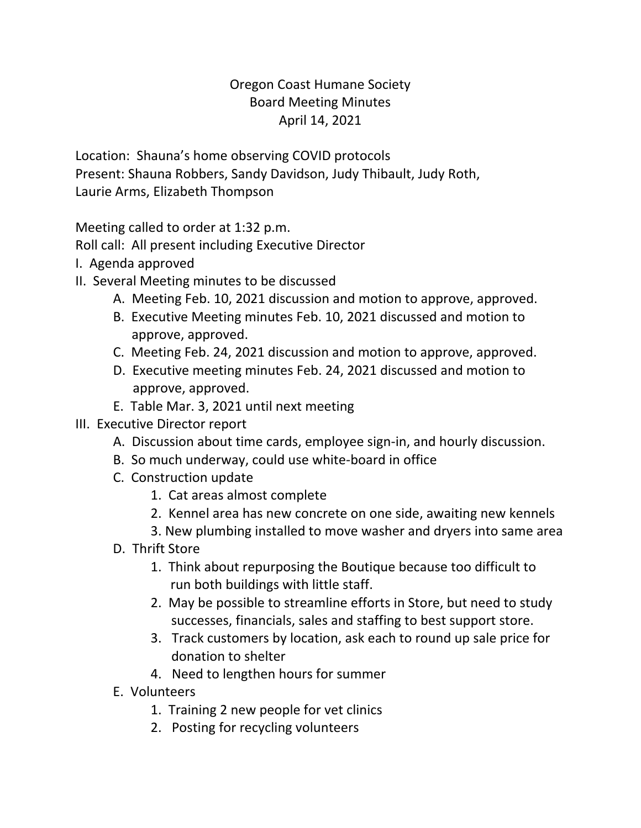## Oregon Coast Humane Society Board Meeting Minutes April 14, 2021

Location: Shauna's home observing COVID protocols Present: Shauna Robbers, Sandy Davidson, Judy Thibault, Judy Roth, Laurie Arms, Elizabeth Thompson

Meeting called to order at 1:32 p.m.

Roll call: All present including Executive Director

- I. Agenda approved
- II. Several Meeting minutes to be discussed
	- A. Meeting Feb. 10, 2021 discussion and motion to approve, approved.
	- B. Executive Meeting minutes Feb. 10, 2021 discussed and motion to approve, approved.
	- C. Meeting Feb. 24, 2021 discussion and motion to approve, approved.
	- D. Executive meeting minutes Feb. 24, 2021 discussed and motion to approve, approved.
	- E. Table Mar. 3, 2021 until next meeting

## III. Executive Director report

- A. Discussion about time cards, employee sign-in, and hourly discussion.
- B. So much underway, could use white-board in office
- C. Construction update
	- 1. Cat areas almost complete
	- 2. Kennel area has new concrete on one side, awaiting new kennels
	- 3. New plumbing installed to move washer and dryers into same area
- D. Thrift Store
	- 1. Think about repurposing the Boutique because too difficult to run both buildings with little staff.
	- 2. May be possible to streamline efforts in Store, but need to study successes, financials, sales and staffing to best support store.
	- 3. Track customers by location, ask each to round up sale price for donation to shelter
	- 4. Need to lengthen hours for summer
- E. Volunteers
	- 1. Training 2 new people for vet clinics
	- 2. Posting for recycling volunteers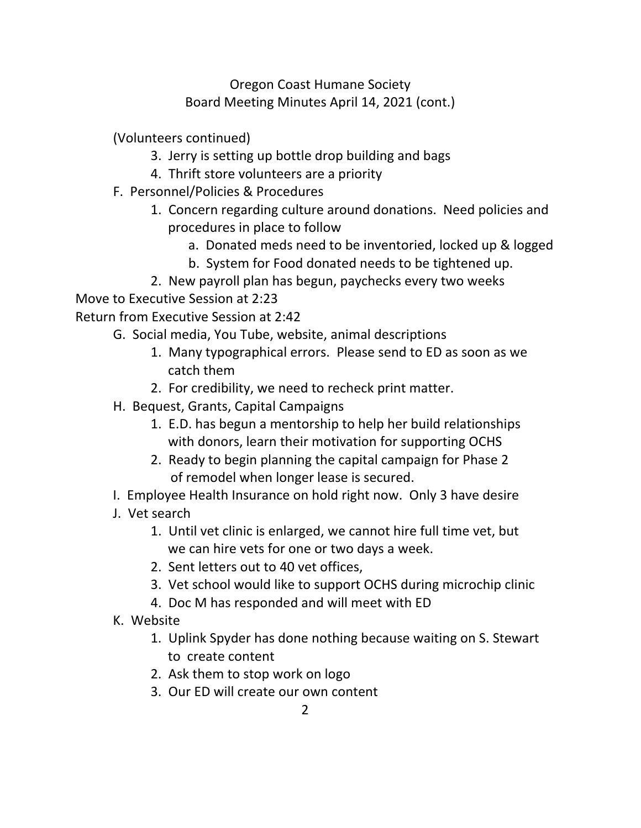Oregon Coast Humane Society Board Meeting Minutes April 14, 2021 (cont.)

(Volunteers continued)

- 3. Jerry is setting up bottle drop building and bags
- 4. Thrift store volunteers are a priority
- F. Personnel/Policies & Procedures
	- 1. Concern regarding culture around donations. Need policies and procedures in place to follow
		- a. Donated meds need to be inventoried, locked up & logged
		- b. System for Food donated needs to be tightened up.
	- 2. New payroll plan has begun, paychecks every two weeks

Move to Executive Session at 2:23

Return from Executive Session at 2:42

- G. Social media, You Tube, website, animal descriptions
	- 1. Many typographical errors. Please send to ED as soon as we catch them
	- 2. For credibility, we need to recheck print matter.
- H. Bequest, Grants, Capital Campaigns
	- 1. E.D. has begun a mentorship to help her build relationships with donors, learn their motivation for supporting OCHS
	- 2. Ready to begin planning the capital campaign for Phase 2 of remodel when longer lease is secured.
- I. Employee Health Insurance on hold right now. Only 3 have desire
- J. Vet search
	- 1. Until vet clinic is enlarged, we cannot hire full time vet, but we can hire vets for one or two days a week.
	- 2. Sent letters out to 40 vet offices,
	- 3. Vet school would like to support OCHS during microchip clinic
	- 4. Doc M has responded and will meet with ED
- K. Website
	- 1. Uplink Spyder has done nothing because waiting on S. Stewart to create content
	- 2. Ask them to stop work on logo
	- 3. Our ED will create our own content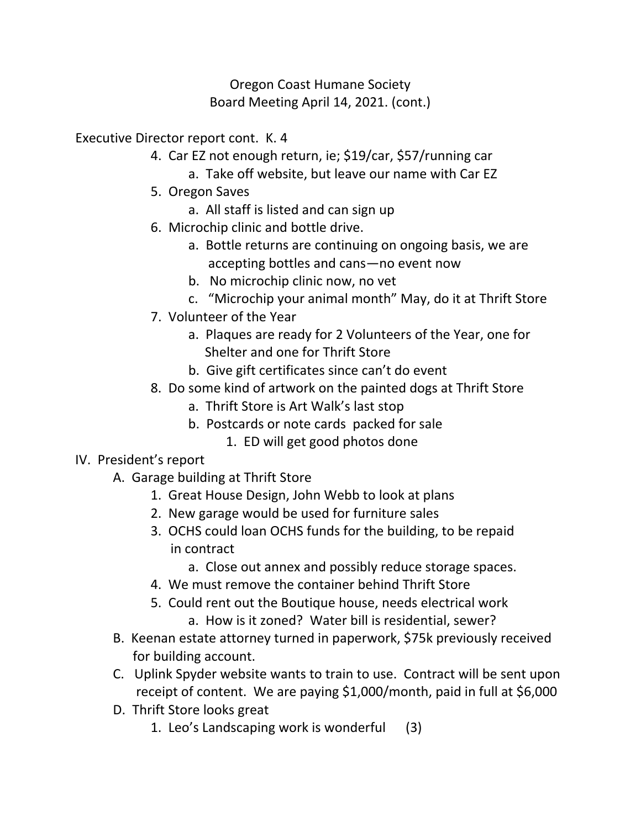## Oregon Coast Humane Society Board Meeting April 14, 2021. (cont.)

Executive Director report cont. K. 4

- 4. Car EZ not enough return, ie; \$19/car, \$57/running car
	- a. Take off website, but leave our name with Car EZ
- 5. Oregon Saves
	- a. All staff is listed and can sign up
- 6. Microchip clinic and bottle drive.
	- a. Bottle returns are continuing on ongoing basis, we are accepting bottles and cans—no event now
	- b. No microchip clinic now, no vet
	- c. "Microchip your animal month" May, do it at Thrift Store
- 7. Volunteer of the Year
	- a. Plaques are ready for 2 Volunteers of the Year, one for Shelter and one for Thrift Store
	- b. Give gift certificates since can't do event
- 8. Do some kind of artwork on the painted dogs at Thrift Store
	- a. Thrift Store is Art Walk's last stop
	- b. Postcards or note cards packed for sale
		- 1. ED will get good photos done

## IV. President's report

- A. Garage building at Thrift Store
	- 1. Great House Design, John Webb to look at plans
	- 2. New garage would be used for furniture sales
	- 3. OCHS could loan OCHS funds for the building, to be repaid in contract
		- a. Close out annex and possibly reduce storage spaces.
	- 4. We must remove the container behind Thrift Store
	- 5. Could rent out the Boutique house, needs electrical work a. How is it zoned? Water bill is residential, sewer?
- B. Keenan estate attorney turned in paperwork, \$75k previously received for building account.
- C. Uplink Spyder website wants to train to use. Contract will be sent upon receipt of content. We are paying \$1,000/month, paid in full at \$6,000
- D. Thrift Store looks great
	- 1. Leo's Landscaping work is wonderful (3)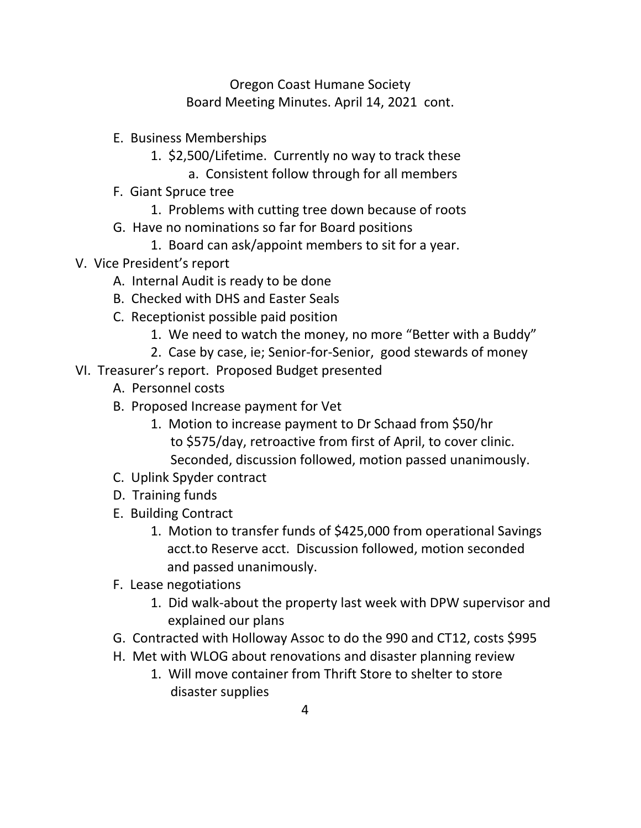Oregon Coast Humane Society Board Meeting Minutes. April 14, 2021 cont.

- E. Business Memberships
	- 1. \$2,500/Lifetime. Currently no way to track these
		- a. Consistent follow through for all members
- F. Giant Spruce tree
	- 1. Problems with cutting tree down because of roots
- G. Have no nominations so far for Board positions
	- 1. Board can ask/appoint members to sit for a year.
- V. Vice President's report
	- A. Internal Audit is ready to be done
	- B. Checked with DHS and Easter Seals
	- C. Receptionist possible paid position
		- 1. We need to watch the money, no more "Better with a Buddy"
		- 2. Case by case, ie; Senior-for-Senior, good stewards of money
- VI. Treasurer's report. Proposed Budget presented
	- A. Personnel costs
	- B. Proposed Increase payment for Vet
		- 1. Motion to increase payment to Dr Schaad from \$50/hr to \$575/day, retroactive from first of April, to cover clinic. Seconded, discussion followed, motion passed unanimously.
	- C. Uplink Spyder contract
	- D. Training funds
	- E. Building Contract
		- 1. Motion to transfer funds of \$425,000 from operational Savings acct.to Reserve acct. Discussion followed, motion seconded and passed unanimously.
	- F. Lease negotiations
		- 1. Did walk-about the property last week with DPW supervisor and explained our plans
	- G. Contracted with Holloway Assoc to do the 990 and CT12, costs \$995
	- H. Met with WLOG about renovations and disaster planning review
		- 1. Will move container from Thrift Store to shelter to store disaster supplies